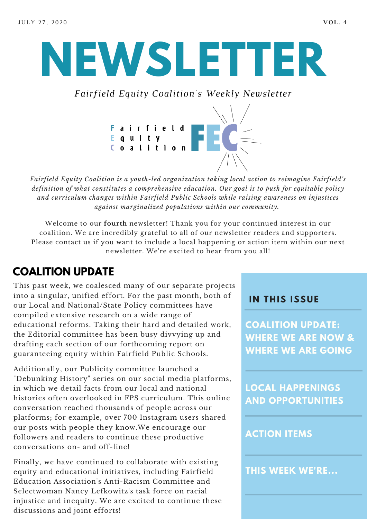**NEWSLETTER**

*Fairfield Equity Coalition's Weekly Newsletter*



*Fairfield Equity Coalition is a youth-led organization taking local action to reimagine Fairfield's definition of what constitutes a comprehensive education. Our goal is to push for equitable policy and curriculum changes within Fairfield Public Schools while raising awareness on injustices against marginalized populations within our community.*

Welcome to our **fourth** newsletter! Thank you for your continued interest in our coalition. We are incredibly grateful to all of our newsletter readers and supporters. Please contact us if you want to include a local happening or action item within our next newsletter. We're excited to hear from you all!

## **COALITION UPDATE**

This past week, we coalesced many of our separate projects into a singular, unified effort. For the past month, both of our Local and National/State Policy committees have compiled extensive research on a wide range of educational reforms. Taking their hard and detailed work, the Editorial committee has been busy divvying up and drafting each section of our forthcoming report on guaranteeing equity within Fairfield Public Schools.

Additionally, our Publicity committee launched a "Debunking History" series on our social media platforms, in which we detail facts from our local and national histories often overlooked in FPS curriculum. This online conversation reached thousands of people across our platforms; for example, over 700 Instagram users shared our posts with people they know.We encourage our followers and readers to continue these productive conversations on- and off-line!

Finally, we have continued to collaborate with existing equity and educational initiatives, including Fairfield Education Association's Anti-Racism Committee and Selectwoman Nancy Lefkowitz's task force on racial injustice and inequity. We are excited to continue these discussions and joint efforts!

#### **I N THIS ISSUE**

**COALITION UPDATE: WHERE WE ARE NOW & WHERE WE ARE GOING**

**LOCAL HAPPENINGS AND OPPORTUNITIES**

#### **ACTION ITEMS**

**THIS WEEK WE'RE...**